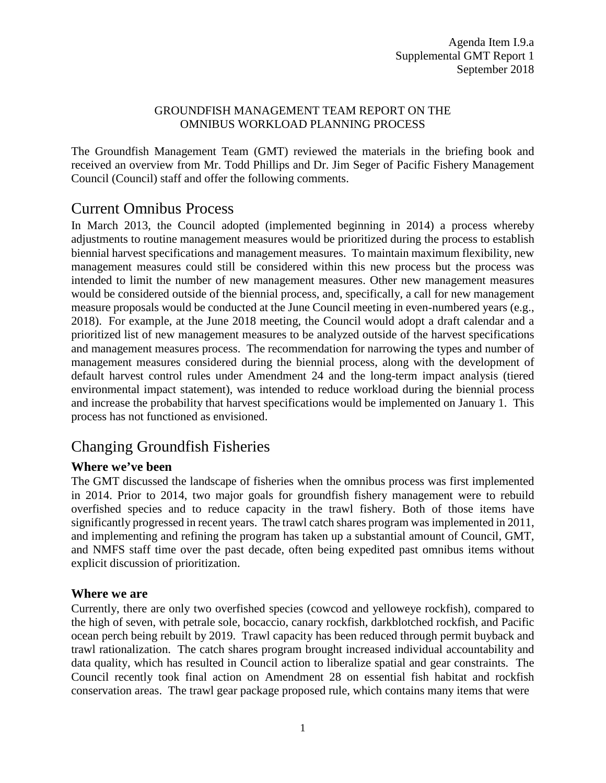#### GROUNDFISH MANAGEMENT TEAM REPORT ON THE OMNIBUS WORKLOAD PLANNING PROCESS

The Groundfish Management Team (GMT) reviewed the materials in the briefing book and received an overview from Mr. Todd Phillips and Dr. Jim Seger of Pacific Fishery Management Council (Council) staff and offer the following comments.

### Current Omnibus Process

In March 2013, the Council adopted (implemented beginning in 2014) a process whereby adjustments to routine management measures would be prioritized during the process to establish biennial harvest specifications and management measures. To maintain maximum flexibility, new management measures could still be considered within this new process but the process was intended to limit the number of new management measures. Other new management measures would be considered outside of the biennial process, and, specifically, a call for new management measure proposals would be conducted at the June Council meeting in even-numbered years (e.g., 2018). For example, at the June 2018 meeting, the Council would adopt a draft calendar and a prioritized list of new management measures to be analyzed outside of the harvest specifications and management measures process. The recommendation for narrowing the types and number of management measures considered during the biennial process, along with the development of default harvest control rules under Amendment 24 and the long-term impact analysis (tiered environmental impact statement), was intended to reduce workload during the biennial process and increase the probability that harvest specifications would be implemented on January 1. This process has not functioned as envisioned.

## Changing Groundfish Fisheries

### **Where we've been**

The GMT discussed the landscape of fisheries when the omnibus process was first implemented in 2014. Prior to 2014, two major goals for groundfish fishery management were to rebuild overfished species and to reduce capacity in the trawl fishery. Both of those items have significantly progressed in recent years. The trawl catch shares program was implemented in 2011, and implementing and refining the program has taken up a substantial amount of Council, GMT, and NMFS staff time over the past decade, often being expedited past omnibus items without explicit discussion of prioritization.

### **Where we are**

Currently, there are only two overfished species (cowcod and yelloweye rockfish), compared to the high of seven, with petrale sole, bocaccio, canary rockfish, darkblotched rockfish, and Pacific ocean perch being rebuilt by 2019. Trawl capacity has been reduced through permit buyback and trawl rationalization. The catch shares program brought increased individual accountability and data quality, which has resulted in Council action to liberalize spatial and gear constraints. The Council recently took final action on Amendment 28 on essential fish habitat and rockfish conservation areas. The trawl gear package proposed rule, which contains many items that were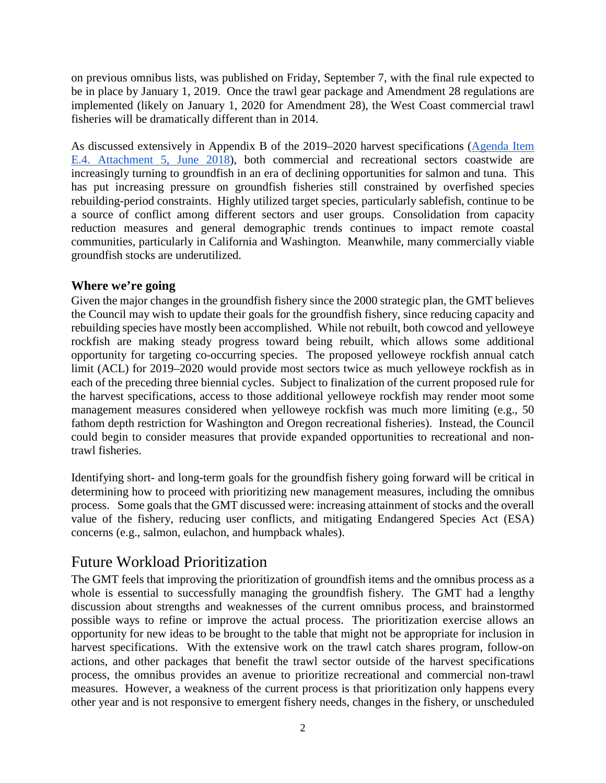on previous omnibus lists, was published on Friday, September 7, with the final rule expected to be in place by January 1, 2019. Once the trawl gear package and Amendment 28 regulations are implemented (likely on January 1, 2020 for Amendment 28), the West Coast commercial trawl fisheries will be dramatically different than in 2014.

As discussed extensively in Appendix B of the 2019–2020 harvest specifications [\(Agenda Item](https://www.pcouncil.org/wp-content/uploads/2018/05/E4_Att5_App_B_YE_June2018BB.pdf)  [E.4. Attachment 5, June 2018\)](https://www.pcouncil.org/wp-content/uploads/2018/05/E4_Att5_App_B_YE_June2018BB.pdf), both commercial and recreational sectors coastwide are increasingly turning to groundfish in an era of declining opportunities for salmon and tuna. This has put increasing pressure on groundfish fisheries still constrained by overfished species rebuilding-period constraints. Highly utilized target species, particularly sablefish, continue to be a source of conflict among different sectors and user groups. Consolidation from capacity reduction measures and general demographic trends continues to impact remote coastal communities, particularly in California and Washington. Meanwhile, many commercially viable groundfish stocks are underutilized.

### **Where we're going**

Given the major changes in the groundfish fishery since the 2000 strategic plan, the GMT believes the Council may wish to update their goals for the groundfish fishery, since reducing capacity and rebuilding species have mostly been accomplished. While not rebuilt, both cowcod and yelloweye rockfish are making steady progress toward being rebuilt, which allows some additional opportunity for targeting co-occurring species. The proposed yelloweye rockfish annual catch limit (ACL) for 2019–2020 would provide most sectors twice as much yelloweye rockfish as in each of the preceding three biennial cycles. Subject to finalization of the current proposed rule for the harvest specifications, access to those additional yelloweye rockfish may render moot some management measures considered when yelloweye rockfish was much more limiting (e.g., 50 fathom depth restriction for Washington and Oregon recreational fisheries). Instead, the Council could begin to consider measures that provide expanded opportunities to recreational and nontrawl fisheries.

Identifying short- and long-term goals for the groundfish fishery going forward will be critical in determining how to proceed with prioritizing new management measures, including the omnibus process. Some goals that the GMT discussed were: increasing attainment of stocks and the overall value of the fishery, reducing user conflicts, and mitigating Endangered Species Act (ESA) concerns (e.g., salmon, eulachon, and humpback whales).

### Future Workload Prioritization

The GMT feels that improving the prioritization of groundfish items and the omnibus process as a whole is essential to successfully managing the groundfish fishery. The GMT had a lengthy discussion about strengths and weaknesses of the current omnibus process, and brainstormed possible ways to refine or improve the actual process. The prioritization exercise allows an opportunity for new ideas to be brought to the table that might not be appropriate for inclusion in harvest specifications. With the extensive work on the trawl catch shares program, follow-on actions, and other packages that benefit the trawl sector outside of the harvest specifications process, the omnibus provides an avenue to prioritize recreational and commercial non-trawl measures. However, a weakness of the current process is that prioritization only happens every other year and is not responsive to emergent fishery needs, changes in the fishery, or unscheduled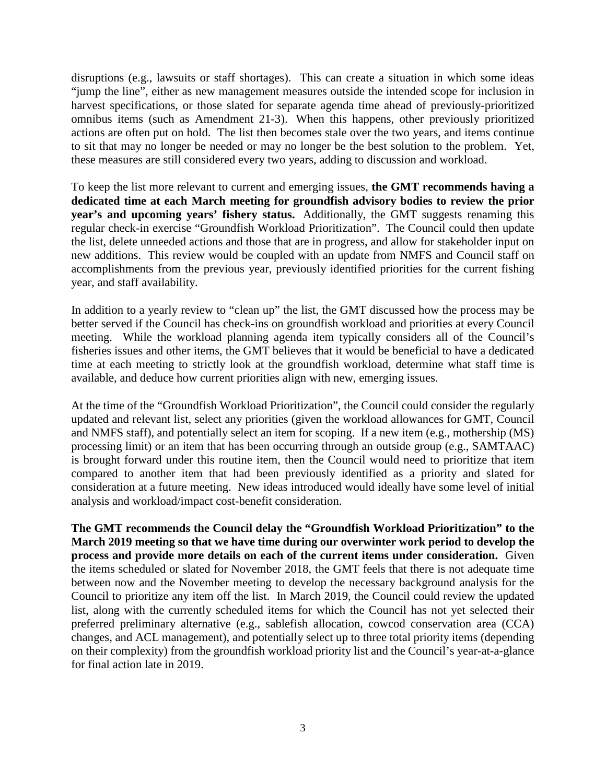disruptions (e.g., lawsuits or staff shortages). This can create a situation in which some ideas "jump the line", either as new management measures outside the intended scope for inclusion in harvest specifications, or those slated for separate agenda time ahead of previously-prioritized omnibus items (such as Amendment 21-3). When this happens, other previously prioritized actions are often put on hold. The list then becomes stale over the two years, and items continue to sit that may no longer be needed or may no longer be the best solution to the problem. Yet, these measures are still considered every two years, adding to discussion and workload.

To keep the list more relevant to current and emerging issues, **the GMT recommends having a dedicated time at each March meeting for groundfish advisory bodies to review the prior year's and upcoming years' fishery status.** Additionally, the GMT suggests renaming this regular check-in exercise "Groundfish Workload Prioritization". The Council could then update the list, delete unneeded actions and those that are in progress, and allow for stakeholder input on new additions. This review would be coupled with an update from NMFS and Council staff on accomplishments from the previous year, previously identified priorities for the current fishing year, and staff availability.

In addition to a yearly review to "clean up" the list, the GMT discussed how the process may be better served if the Council has check-ins on groundfish workload and priorities at every Council meeting. While the workload planning agenda item typically considers all of the Council's fisheries issues and other items, the GMT believes that it would be beneficial to have a dedicated time at each meeting to strictly look at the groundfish workload, determine what staff time is available, and deduce how current priorities align with new, emerging issues.

At the time of the "Groundfish Workload Prioritization", the Council could consider the regularly updated and relevant list, select any priorities (given the workload allowances for GMT, Council and NMFS staff), and potentially select an item for scoping. If a new item (e.g., mothership (MS) processing limit) or an item that has been occurring through an outside group (e.g., SAMTAAC) is brought forward under this routine item, then the Council would need to prioritize that item compared to another item that had been previously identified as a priority and slated for consideration at a future meeting. New ideas introduced would ideally have some level of initial analysis and workload/impact cost-benefit consideration.

**The GMT recommends the Council delay the "Groundfish Workload Prioritization" to the March 2019 meeting so that we have time during our overwinter work period to develop the process and provide more details on each of the current items under consideration.** Given the items scheduled or slated for November 2018, the GMT feels that there is not adequate time between now and the November meeting to develop the necessary background analysis for the Council to prioritize any item off the list. In March 2019, the Council could review the updated list, along with the currently scheduled items for which the Council has not yet selected their preferred preliminary alternative (e.g., sablefish allocation, cowcod conservation area (CCA) changes, and ACL management), and potentially select up to three total priority items (depending on their complexity) from the groundfish workload priority list and the Council's year-at-a-glance for final action late in 2019.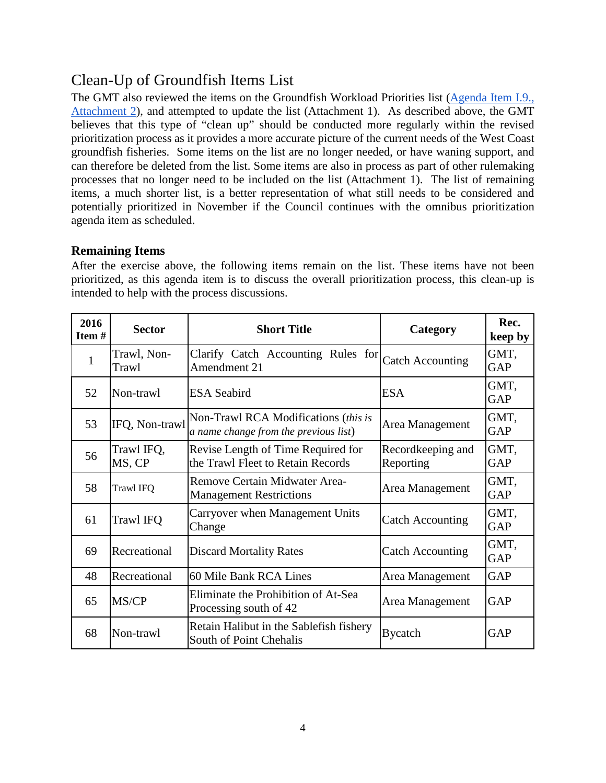# Clean-Up of Groundfish Items List

The GMT also reviewed the items on the Groundfish Workload Priorities list (Agenda Item I.9., [Attachment 2\)](https://www.pcouncil.org/wp-content/uploads/2018/08/I9_Att2_GFworkload_Apr_2018_SEPT2018BB.pdf), and attempted to update the list (Attachment 1). As described above, the GMT believes that this type of "clean up" should be conducted more regularly within the revised prioritization process as it provides a more accurate picture of the current needs of the West Coast groundfish fisheries. Some items on the list are no longer needed, or have waning support, and can therefore be deleted from the list. Some items are also in process as part of other rulemaking processes that no longer need to be included on the list (Attachment 1). The list of remaining items, a much shorter list, is a better representation of what still needs to be considered and potentially prioritized in November if the Council continues with the omnibus prioritization agenda item as scheduled.

### **Remaining Items**

After the exercise above, the following items remain on the list. These items have not been prioritized, as this agenda item is to discuss the overall prioritization process, this clean-up is intended to help with the process discussions.

| 2016<br>Item# | <b>Sector</b>        | <b>Short Title</b>                                                            | Category                       | Rec.<br>keep by |
|---------------|----------------------|-------------------------------------------------------------------------------|--------------------------------|-----------------|
| $\mathbf{1}$  | Trawl, Non-<br>Trawl | Clarify Catch Accounting Rules for<br>Amendment 21                            | <b>Catch Accounting</b>        | GMT,<br>GAP     |
| 52            | Non-trawl            | <b>ESA</b> Seabird                                                            | <b>ESA</b>                     | GMT,<br>GAP     |
| 53            | IFQ, Non-trawl       | Non-Trawl RCA Modifications (this is<br>a name change from the previous list) | Area Management                | GMT,<br>GAP     |
| 56            | Trawl IFQ,<br>MS, CP | Revise Length of Time Required for<br>the Trawl Fleet to Retain Records       | Recordkeeping and<br>Reporting | GMT,<br>GAP     |
| 58            | <b>Trawl IFQ</b>     | Remove Certain Midwater Area-<br><b>Management Restrictions</b>               | Area Management                | GMT,<br>GAP     |
| 61            | Trawl IFQ            | Carryover when Management Units<br>Change                                     | <b>Catch Accounting</b>        | GMT,<br>GAP     |
| 69            | Recreational         | <b>Discard Mortality Rates</b>                                                | <b>Catch Accounting</b>        | GMT,<br>GAP     |
| 48            | Recreational         | 60 Mile Bank RCA Lines                                                        | Area Management                | <b>GAP</b>      |
| 65            | MS/CP                | Eliminate the Prohibition of At-Sea<br>Processing south of 42                 | Area Management                | <b>GAP</b>      |
| 68            | Non-trawl            | Retain Halibut in the Sablefish fishery<br>South of Point Chehalis            | <b>Bycatch</b>                 | <b>GAP</b>      |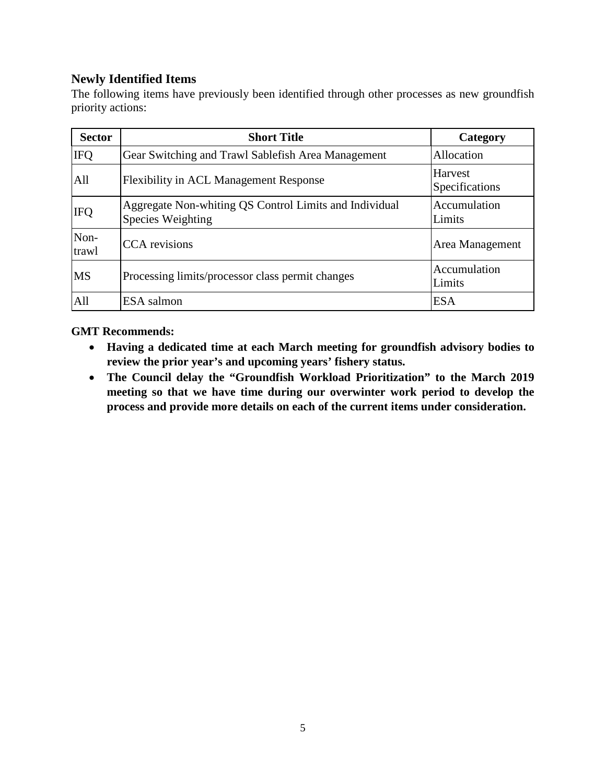### **Newly Identified Items**

The following items have previously been identified through other processes as new groundfish priority actions:

| <b>Sector</b> | <b>Short Title</b>                                                          | Category                  |
|---------------|-----------------------------------------------------------------------------|---------------------------|
| <b>IFQ</b>    | Gear Switching and Trawl Sablefish Area Management                          | Allocation                |
| All           | <b>Flexibility in ACL Management Response</b>                               | Harvest<br>Specifications |
| <b>IFQ</b>    | Aggregate Non-whiting QS Control Limits and Individual<br>Species Weighting | Accumulation<br>Limits    |
| Non-<br>trawl | <b>CCA</b> revisions                                                        | Area Management           |
| <b>MS</b>     | Processing limits/processor class permit changes                            | Accumulation<br>Limits    |
| All           | ESA salmon                                                                  | <b>ESA</b>                |

#### **GMT Recommends:**

- **Having a dedicated time at each March meeting for groundfish advisory bodies to review the prior year's and upcoming years' fishery status.**
- **The Council delay the "Groundfish Workload Prioritization" to the March 2019 meeting so that we have time during our overwinter work period to develop the process and provide more details on each of the current items under consideration.**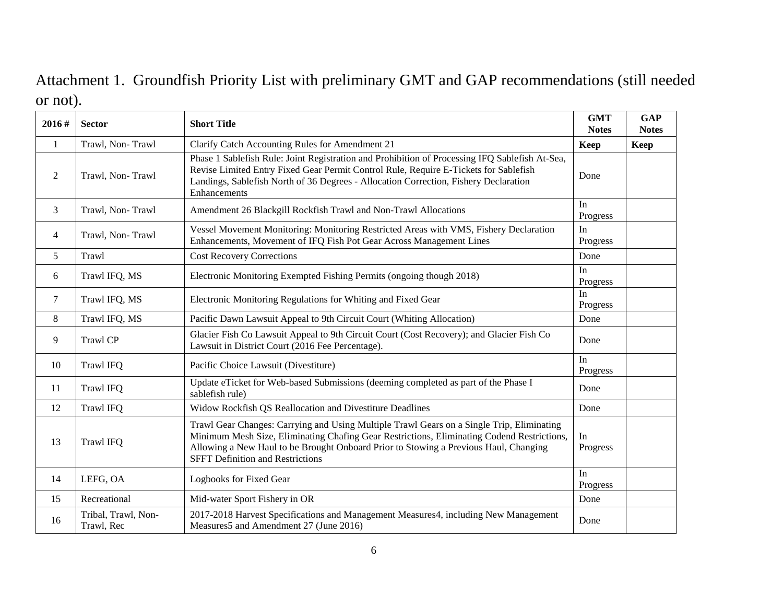# Attachment 1. Groundfish Priority List with preliminary GMT and GAP recommendations (still needed or not).

| 2016#        | <b>Sector</b>                     | <b>Short Title</b>                                                                                                                                                                                                                                                                                                         | <b>GMT</b><br><b>Notes</b> | <b>GAP</b><br><b>Notes</b> |
|--------------|-----------------------------------|----------------------------------------------------------------------------------------------------------------------------------------------------------------------------------------------------------------------------------------------------------------------------------------------------------------------------|----------------------------|----------------------------|
| $\mathbf{1}$ | Trawl, Non-Trawl                  | Clarify Catch Accounting Rules for Amendment 21                                                                                                                                                                                                                                                                            | Keep                       | Keep                       |
| 2            | Trawl, Non-Trawl                  | Phase 1 Sablefish Rule: Joint Registration and Prohibition of Processing IFQ Sablefish At-Sea,<br>Revise Limited Entry Fixed Gear Permit Control Rule, Require E-Tickets for Sablefish<br>Landings, Sablefish North of 36 Degrees - Allocation Correction, Fishery Declaration<br>Enhancements                             | Done                       |                            |
| 3            | Trawl, Non-Trawl                  | Amendment 26 Blackgill Rockfish Trawl and Non-Trawl Allocations                                                                                                                                                                                                                                                            | In<br>Progress             |                            |
| 4            | Trawl, Non-Trawl                  | Vessel Movement Monitoring: Monitoring Restricted Areas with VMS, Fishery Declaration<br>Enhancements, Movement of IFQ Fish Pot Gear Across Management Lines                                                                                                                                                               | In<br>Progress             |                            |
| 5            | Trawl                             | <b>Cost Recovery Corrections</b>                                                                                                                                                                                                                                                                                           | Done                       |                            |
| 6            | Trawl IFQ, MS                     | Electronic Monitoring Exempted Fishing Permits (ongoing though 2018)                                                                                                                                                                                                                                                       | In<br>Progress             |                            |
| 7            | Trawl IFQ, MS                     | Electronic Monitoring Regulations for Whiting and Fixed Gear                                                                                                                                                                                                                                                               | In<br>Progress             |                            |
| 8            | Trawl IFQ, MS                     | Pacific Dawn Lawsuit Appeal to 9th Circuit Court (Whiting Allocation)                                                                                                                                                                                                                                                      | Done                       |                            |
| 9            | <b>Trawl CP</b>                   | Glacier Fish Co Lawsuit Appeal to 9th Circuit Court (Cost Recovery); and Glacier Fish Co<br>Lawsuit in District Court (2016 Fee Percentage).                                                                                                                                                                               | Done                       |                            |
| 10           | <b>Trawl IFQ</b>                  | Pacific Choice Lawsuit (Divestiture)                                                                                                                                                                                                                                                                                       | In<br>Progress             |                            |
| 11           | <b>Trawl IFQ</b>                  | Update eTicket for Web-based Submissions (deeming completed as part of the Phase I<br>sablefish rule)                                                                                                                                                                                                                      | Done                       |                            |
| 12           | <b>Trawl IFO</b>                  | Widow Rockfish QS Reallocation and Divestiture Deadlines                                                                                                                                                                                                                                                                   | Done                       |                            |
| 13           | <b>Trawl IFQ</b>                  | Trawl Gear Changes: Carrying and Using Multiple Trawl Gears on a Single Trip, Eliminating<br>Minimum Mesh Size, Eliminating Chafing Gear Restrictions, Eliminating Codend Restrictions,<br>Allowing a New Haul to be Brought Onboard Prior to Stowing a Previous Haul, Changing<br><b>SFFT Definition and Restrictions</b> | In<br>Progress             |                            |
| 14           | LEFG, OA                          | Logbooks for Fixed Gear                                                                                                                                                                                                                                                                                                    | In<br>Progress             |                            |
| 15           | Recreational                      | Mid-water Sport Fishery in OR                                                                                                                                                                                                                                                                                              | Done                       |                            |
| 16           | Tribal, Trawl, Non-<br>Trawl, Rec | 2017-2018 Harvest Specifications and Management Measures4, including New Management<br>Measures5 and Amendment 27 (June 2016)                                                                                                                                                                                              | Done                       |                            |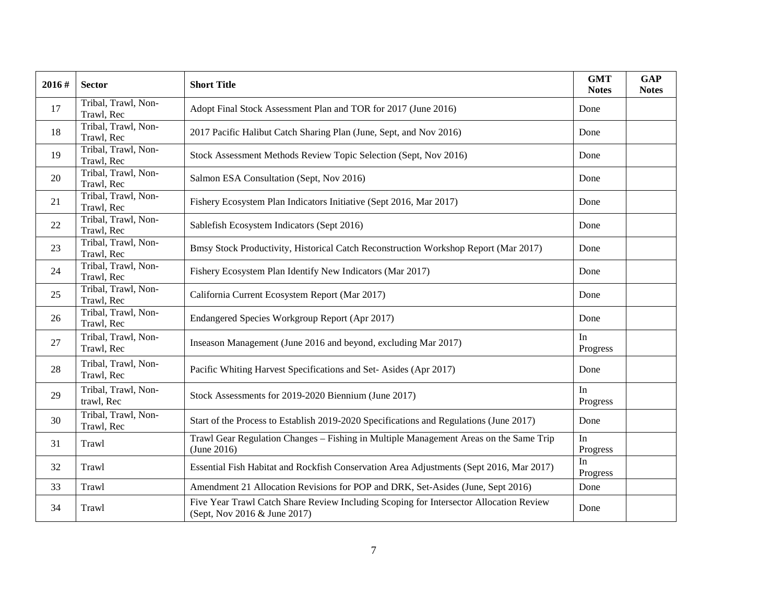| 2016# | <b>Sector</b>                     | <b>Short Title</b>                                                                                                     | <b>GMT</b><br><b>Notes</b> | <b>GAP</b><br><b>Notes</b> |
|-------|-----------------------------------|------------------------------------------------------------------------------------------------------------------------|----------------------------|----------------------------|
| 17    | Tribal, Trawl, Non-<br>Trawl, Rec | Adopt Final Stock Assessment Plan and TOR for 2017 (June 2016)                                                         | Done                       |                            |
| 18    | Tribal, Trawl, Non-<br>Trawl, Rec | 2017 Pacific Halibut Catch Sharing Plan (June, Sept, and Nov 2016)                                                     | Done                       |                            |
| 19    | Tribal, Trawl, Non-<br>Trawl, Rec | Stock Assessment Methods Review Topic Selection (Sept, Nov 2016)                                                       | Done                       |                            |
| 20    | Tribal, Trawl, Non-<br>Trawl, Rec | Salmon ESA Consultation (Sept, Nov 2016)                                                                               | Done                       |                            |
| 21    | Tribal, Trawl, Non-<br>Trawl, Rec | Fishery Ecosystem Plan Indicators Initiative (Sept 2016, Mar 2017)                                                     | Done                       |                            |
| 22    | Tribal, Trawl, Non-<br>Trawl, Rec | Sablefish Ecosystem Indicators (Sept 2016)                                                                             | Done                       |                            |
| 23    | Tribal, Trawl, Non-<br>Trawl, Rec | Bmsy Stock Productivity, Historical Catch Reconstruction Workshop Report (Mar 2017)                                    | Done                       |                            |
| 24    | Tribal, Trawl, Non-<br>Trawl, Rec | Fishery Ecosystem Plan Identify New Indicators (Mar 2017)                                                              | Done                       |                            |
| 25    | Tribal, Trawl, Non-<br>Trawl, Rec | California Current Ecosystem Report (Mar 2017)                                                                         | Done                       |                            |
| 26    | Tribal, Trawl, Non-<br>Trawl, Rec | Endangered Species Workgroup Report (Apr 2017)                                                                         | Done                       |                            |
| 27    | Tribal, Trawl, Non-<br>Trawl, Rec | Inseason Management (June 2016 and beyond, excluding Mar 2017)                                                         | In<br>Progress             |                            |
| 28    | Tribal, Trawl, Non-<br>Trawl, Rec | Pacific Whiting Harvest Specifications and Set-Asides (Apr 2017)                                                       | Done                       |                            |
| 29    | Tribal, Trawl, Non-<br>trawl, Rec | Stock Assessments for 2019-2020 Biennium (June 2017)                                                                   | In<br>Progress             |                            |
| 30    | Tribal, Trawl, Non-<br>Trawl, Rec | Start of the Process to Establish 2019-2020 Specifications and Regulations (June 2017)                                 | Done                       |                            |
| 31    | Trawl                             | Trawl Gear Regulation Changes – Fishing in Multiple Management Areas on the Same Trip<br>(June 2016)                   | In<br>Progress             |                            |
| 32    | Trawl                             | Essential Fish Habitat and Rockfish Conservation Area Adjustments (Sept 2016, Mar 2017)                                | In<br>Progress             |                            |
| 33    | Trawl                             | Amendment 21 Allocation Revisions for POP and DRK, Set-Asides (June, Sept 2016)                                        | Done                       |                            |
| 34    | Trawl                             | Five Year Trawl Catch Share Review Including Scoping for Intersector Allocation Review<br>(Sept, Nov 2016 & June 2017) | Done                       |                            |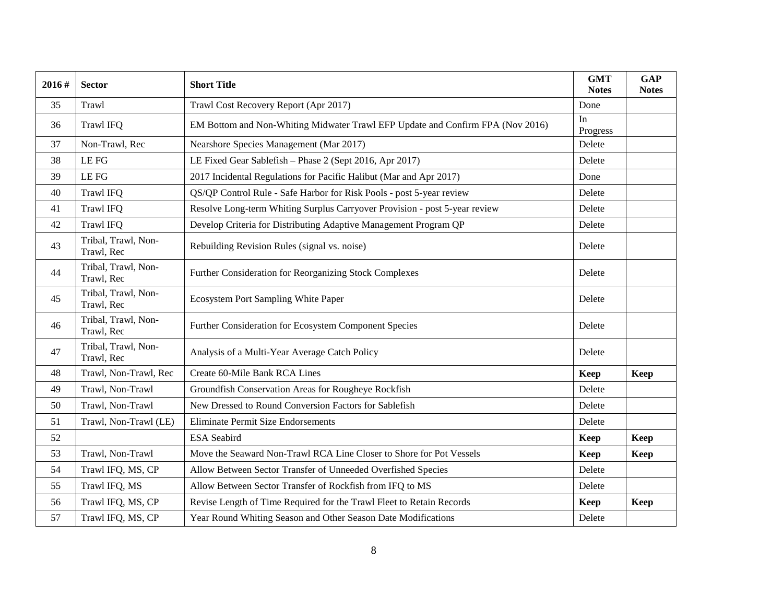| 2016# | <b>Sector</b>                     | <b>Short Title</b>                                                             | <b>GMT</b><br><b>Notes</b> | <b>GAP</b><br><b>Notes</b> |
|-------|-----------------------------------|--------------------------------------------------------------------------------|----------------------------|----------------------------|
| 35    | Trawl                             | Trawl Cost Recovery Report (Apr 2017)                                          | Done                       |                            |
| 36    | <b>Trawl IFQ</b>                  | EM Bottom and Non-Whiting Midwater Trawl EFP Update and Confirm FPA (Nov 2016) | In<br>Progress             |                            |
| 37    | Non-Trawl, Rec                    | Nearshore Species Management (Mar 2017)                                        | Delete                     |                            |
| 38    | LE FG                             | LE Fixed Gear Sablefish - Phase 2 (Sept 2016, Apr 2017)                        | Delete                     |                            |
| 39    | LE FG                             | 2017 Incidental Regulations for Pacific Halibut (Mar and Apr 2017)             | Done                       |                            |
| 40    | <b>Trawl IFQ</b>                  | QS/QP Control Rule - Safe Harbor for Risk Pools - post 5-year review           | Delete                     |                            |
| 41    | <b>Trawl IFQ</b>                  | Resolve Long-term Whiting Surplus Carryover Provision - post 5-year review     | Delete                     |                            |
| 42    | <b>Trawl IFQ</b>                  | Develop Criteria for Distributing Adaptive Management Program QP               | Delete                     |                            |
| 43    | Tribal, Trawl, Non-<br>Trawl, Rec | Rebuilding Revision Rules (signal vs. noise)                                   | Delete                     |                            |
| 44    | Tribal, Trawl, Non-<br>Trawl, Rec | Further Consideration for Reorganizing Stock Complexes                         | Delete                     |                            |
| 45    | Tribal, Trawl, Non-<br>Trawl, Rec | Ecosystem Port Sampling White Paper                                            | Delete                     |                            |
| 46    | Tribal, Trawl, Non-<br>Trawl, Rec | Further Consideration for Ecosystem Component Species                          | Delete                     |                            |
| 47    | Tribal, Trawl, Non-<br>Trawl, Rec | Analysis of a Multi-Year Average Catch Policy                                  | Delete                     |                            |
| 48    | Trawl, Non-Trawl, Rec             | Create 60-Mile Bank RCA Lines                                                  | Keep                       | Keep                       |
| 49    | Trawl, Non-Trawl                  | Groundfish Conservation Areas for Rougheye Rockfish                            | Delete                     |                            |
| 50    | Trawl, Non-Trawl                  | New Dressed to Round Conversion Factors for Sablefish                          | Delete                     |                            |
| 51    | Trawl, Non-Trawl (LE)             | <b>Eliminate Permit Size Endorsements</b>                                      | Delete                     |                            |
| 52    |                                   | <b>ESA</b> Seabird                                                             | Keep                       | Keep                       |
| 53    | Trawl, Non-Trawl                  | Move the Seaward Non-Trawl RCA Line Closer to Shore for Pot Vessels            | <b>Keep</b>                | <b>Keep</b>                |
| 54    | Trawl IFQ, MS, CP                 | Allow Between Sector Transfer of Unneeded Overfished Species                   | Delete                     |                            |
| 55    | Trawl IFQ, MS                     | Allow Between Sector Transfer of Rockfish from IFQ to MS                       | Delete                     |                            |
| 56    | Trawl IFQ, MS, CP                 | Revise Length of Time Required for the Trawl Fleet to Retain Records           | Keep                       | <b>Keep</b>                |
| 57    | Trawl IFQ, MS, CP                 | Year Round Whiting Season and Other Season Date Modifications                  | Delete                     |                            |